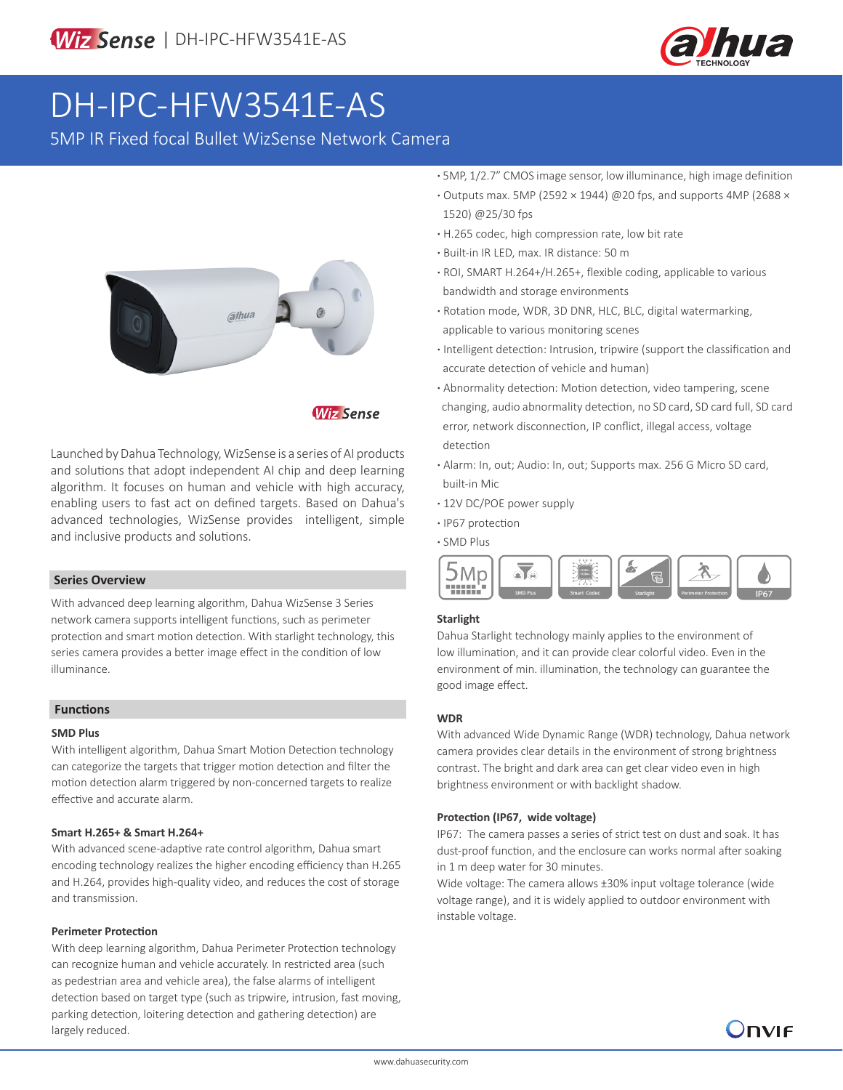

# DH-IPC-HFW3541E-AS

5MP IR Fixed focal Bullet WizSense Network Camera



**Wiz Sense** 

Launched by Dahua Technology, WizSense is a series of AI products and solutions that adopt independent AI chip and deep learning algorithm. It focuses on human and vehicle with high accuracy, enabling users to fast act on defined targets. Based on Dahua's advanced technologies, WizSense provides intelligent, simple and inclusive products and solutions.

### **Series Overview**

With advanced deep learning algorithm, Dahua WizSense 3 Series network camera supports intelligent functions, such as perimeter protection and smart motion detection. With starlight technology, this series camera provides a better image effect in the condition of low illuminance.

### **Functions**

#### **SMD Plus**

With intelligent algorithm, Dahua Smart Motion Detection technology can categorize the targets that trigger motion detection and filter the motion detection alarm triggered by non-concerned targets to realize effective and accurate alarm.

### **Smart H.265+ & Smart H.264+**

With advanced scene-adaptive rate control algorithm, Dahua smart encoding technology realizes the higher encoding efficiency than H.265 and H.264, provides high-quality video, and reduces the cost of storage and transmission.

#### **Perimeter Protection**

With deep learning algorithm, Dahua Perimeter Protection technology can recognize human and vehicle accurately. In restricted area (such as pedestrian area and vehicle area), the false alarms of intelligent detection based on target type (such as tripwire, intrusion, fast moving, parking detection, loitering detection and gathering detection) are largely reduced.

- **·** 5MP, 1/2.7" CMOS image sensor, low illuminance, high image definition
- **·** Outputs max. 5MP (2592 × 1944) @20 fps, and supports 4MP (2688 × 1520) @25/30 fps
- **·** H.265 codec, high compression rate, low bit rate
- **·** Built-in IR LED, max. IR distance: 50 m
- **·** ROI, SMART H.264+/H.265+, flexible coding, applicable to various bandwidth and storage environments
- **·** Rotation mode, WDR, 3D DNR, HLC, BLC, digital watermarking, applicable to various monitoring scenes
- **·** Intelligent detection: Intrusion, tripwire (support the classification and accurate detection of vehicle and human)
- **·** Abnormality detection: Motion detection, video tampering, scene changing, audio abnormality detection, no SD card, SD card full, SD card error, network disconnection, IP conflict, illegal access, voltage detection
- **·** Alarm: In, out; Audio: In, out; Supports max. 256 G Micro SD card, built-in Mic
- **·** 12V DC/POE power supply
- **·** IP67 protection
- **·** SMD Plus



### **Starlight**

Dahua Starlight technology mainly applies to the environment of low illumination, and it can provide clear colorful video. Even in the environment of min. illumination, the technology can guarantee the good image effect.

### **WDR**

With advanced Wide Dynamic Range (WDR) technology, Dahua network camera provides clear details in the environment of strong brightness contrast. The bright and dark area can get clear video even in high brightness environment or with backlight shadow.

### **Protection (IP67, wide voltage)**

IP67: The camera passes a series of strict test on dust and soak. It has dust-proof function, and the enclosure can works normal after soaking in 1 m deep water for 30 minutes.

Wide voltage: The camera allows ±30% input voltage tolerance (wide voltage range), and it is widely applied to outdoor environment with instable voltage.

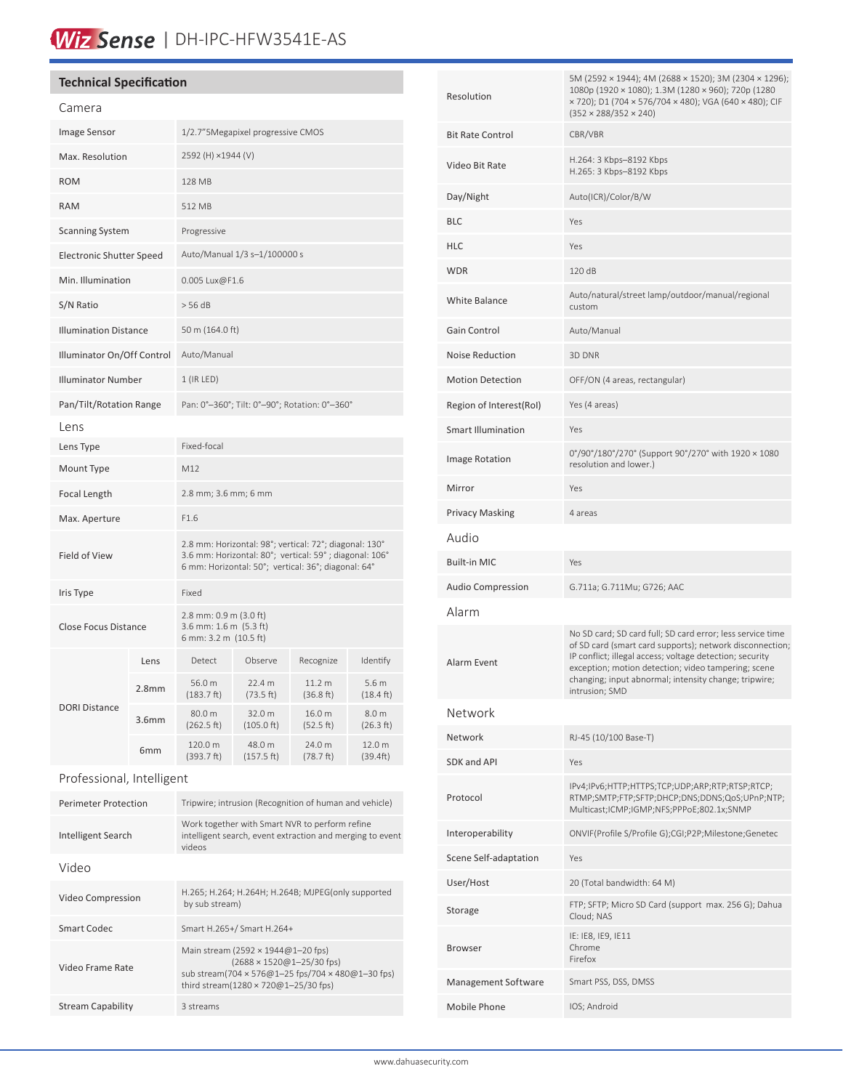# Wiz Sense | DH-IPC-HFW3541E-AS

### **Technical Specification**

| Camera                       |                   |                                                                                                                                                                         |                      |                     |                                         |
|------------------------------|-------------------|-------------------------------------------------------------------------------------------------------------------------------------------------------------------------|----------------------|---------------------|-----------------------------------------|
| <b>Image Sensor</b>          |                   | 1/2.7"5Megapixel progressive CMOS                                                                                                                                       |                      |                     |                                         |
| Max. Resolution              |                   | 2592 (H) ×1944 (V)                                                                                                                                                      |                      |                     |                                         |
| <b>ROM</b>                   |                   | 128 MB                                                                                                                                                                  |                      |                     |                                         |
| <b>RAM</b>                   |                   | 512 MB                                                                                                                                                                  |                      |                     |                                         |
| <b>Scanning System</b>       |                   | Progressive                                                                                                                                                             |                      |                     |                                         |
| Electronic Shutter Speed     |                   | Auto/Manual 1/3 s-1/100000 s                                                                                                                                            |                      |                     |                                         |
| Min. Illumination            |                   | 0.005 Lux@F1.6                                                                                                                                                          |                      |                     |                                         |
| S/N Ratio                    |                   | > 56 dB                                                                                                                                                                 |                      |                     |                                         |
| <b>Illumination Distance</b> |                   | 50 m (164.0 ft)                                                                                                                                                         |                      |                     |                                         |
| Illuminator On/Off Control   |                   | Auto/Manual                                                                                                                                                             |                      |                     |                                         |
| <b>Illuminator Number</b>    |                   | 1 (IR LED)                                                                                                                                                              |                      |                     |                                         |
| Pan/Tilt/Rotation Range      |                   | Pan: 0°-360°; Tilt: 0°-90°; Rotation: 0°-360°                                                                                                                           |                      |                     |                                         |
| Lens                         |                   |                                                                                                                                                                         |                      |                     |                                         |
| Lens Type                    |                   | Fixed-focal                                                                                                                                                             |                      |                     |                                         |
| Mount Type                   |                   | M12                                                                                                                                                                     |                      |                     |                                         |
| Focal Length                 |                   | 2.8 mm; 3.6 mm; 6 mm                                                                                                                                                    |                      |                     |                                         |
| Max. Aperture                |                   | F1.6                                                                                                                                                                    |                      |                     |                                         |
| Field of View                |                   | 2.8 mm: Horizontal: 98°; vertical: 72°; diagonal: 130°<br>3.6 mm: Horizontal: 80°; vertical: 59°; diagonal: 106°<br>6 mm: Horizontal: 50°; vertical: 36°; diagonal: 64° |                      |                     |                                         |
| Iris Type                    |                   | Fixed                                                                                                                                                                   |                      |                     |                                         |
| <b>Close Focus Distance</b>  |                   | 2.8 mm: 0.9 m (3.0 ft)<br>3.6 mm: 1.6 m (5.3 ft)<br>6 mm: 3.2 m (10.5 ft)                                                                                               |                      |                     |                                         |
|                              | Lens              | Detect                                                                                                                                                                  | Observe              | Recognize           | Identify                                |
|                              | 2.8 <sub>mm</sub> | 56.0 m<br>(183.7 ft)                                                                                                                                                    | 22.4 m<br>(73.5 ft)  | 11.2 m<br>(36.8 ft) | 5.6 <sub>m</sub><br>$(18.4 \text{ ft})$ |
| <b>DORI Distance</b>         | 3.6 <sub>mm</sub> | 80.0 m<br>(262.5 ft)                                                                                                                                                    | 32.0 m<br>(105.0 ft) | 16.0 m<br>(52.5 ft) | 8.0 m<br>(26.3 ft)                      |
|                              | 6 <sub>mm</sub>   | 120.0 m<br>(393.7 ft)                                                                                                                                                   | 48.0 m<br>(157.5 ft) | 24.0 m<br>(78.7 ft) | 12.0 m<br>(39.4ft)                      |
| Professional, Intelligent    |                   |                                                                                                                                                                         |                      |                     |                                         |
| <b>Perimeter Protection</b>  |                   | Tripwire; intrusion (Recognition of human and vehicle)                                                                                                                  |                      |                     |                                         |

| Intelligent Search       | Work together with Smart NVR to perform refine<br>intelligent search, event extraction and merging to event<br>videos                                                 |  |
|--------------------------|-----------------------------------------------------------------------------------------------------------------------------------------------------------------------|--|
| Video                    |                                                                                                                                                                       |  |
| Video Compression        | H.265; H.264; H.264H; H.264B; MJPEG(only supported<br>by sub stream)                                                                                                  |  |
| Smart Codec              | Smart H.265+/ Smart H.264+                                                                                                                                            |  |
| Video Frame Rate         | Main stream (2592 × 1944@1-20 fps)<br>$(2688 \times 1520@1 - 25/30$ fps)<br>sub stream(704 × 576@1-25 fps/704 × 480@1-30 fps)<br>third stream(1280 × 720@1-25/30 fps) |  |
| <b>Stream Capability</b> | 3 streams                                                                                                                                                             |  |

| Resolution              | 5M (2592 × 1944); 4M (2688 × 1520); 3M (2304 × 1296);<br>1080p (1920 × 1080); 1.3M (1280 × 960); 720p (1280<br>× 720); D1 (704 × 576/704 × 480); VGA (640 × 480); CIF<br>$(352 \times 288/352 \times 240)$                                                                                                           |  |  |
|-------------------------|----------------------------------------------------------------------------------------------------------------------------------------------------------------------------------------------------------------------------------------------------------------------------------------------------------------------|--|--|
| <b>Bit Rate Control</b> | CBR/VBR                                                                                                                                                                                                                                                                                                              |  |  |
| Video Bit Rate          | H.264: 3 Kbps-8192 Kbps<br>H.265: 3 Kbps-8192 Kbps                                                                                                                                                                                                                                                                   |  |  |
| Day/Night               | Auto(ICR)/Color/B/W                                                                                                                                                                                                                                                                                                  |  |  |
| BLC                     | Yes                                                                                                                                                                                                                                                                                                                  |  |  |
| HLC                     | Yes                                                                                                                                                                                                                                                                                                                  |  |  |
| WDR                     | 120 dB                                                                                                                                                                                                                                                                                                               |  |  |
| White Balance           | Auto/natural/street lamp/outdoor/manual/regional<br>custom                                                                                                                                                                                                                                                           |  |  |
| Gain Control            | Auto/Manual                                                                                                                                                                                                                                                                                                          |  |  |
| Noise Reduction         | 3D DNR                                                                                                                                                                                                                                                                                                               |  |  |
| <b>Motion Detection</b> | OFF/ON (4 areas, rectangular)                                                                                                                                                                                                                                                                                        |  |  |
| Region of Interest(RoI) | Yes (4 areas)                                                                                                                                                                                                                                                                                                        |  |  |
| Smart Illumination      | Yes                                                                                                                                                                                                                                                                                                                  |  |  |
| <b>Image Rotation</b>   | 0°/90°/180°/270° (Support 90°/270° with 1920 × 1080<br>resolution and lower.)                                                                                                                                                                                                                                        |  |  |
| Mirror                  | Yes                                                                                                                                                                                                                                                                                                                  |  |  |
| Privacy Masking         | 4 areas                                                                                                                                                                                                                                                                                                              |  |  |
| Audio                   |                                                                                                                                                                                                                                                                                                                      |  |  |
| Built-in MIC            | Yes                                                                                                                                                                                                                                                                                                                  |  |  |
| Audio Compression       | G.711a; G.711Mu; G726; AAC                                                                                                                                                                                                                                                                                           |  |  |
| Alarm                   |                                                                                                                                                                                                                                                                                                                      |  |  |
| Alarm Event             | No SD card; SD card full; SD card error; less service time<br>of SD card (smart card supports); network disconnection;<br>IP conflict; illegal access; voltage detection; security<br>exception; motion detection; video tampering; scene<br>changing; input abnormal; intensity change; tripwire;<br>intrusion; SMD |  |  |
| Network                 |                                                                                                                                                                                                                                                                                                                      |  |  |
| Network                 | RJ-45 (10/100 Base-T)                                                                                                                                                                                                                                                                                                |  |  |
| SDK and API             | Yes                                                                                                                                                                                                                                                                                                                  |  |  |
| Protocol                | IPv4;IPv6;HTTP;HTTPS;TCP;UDP;ARP;RTP;RTSP;RTCP;<br>RTMP;SMTP;FTP;SFTP;DHCP;DNS;DDNS;QoS;UPnP;NTP;<br>Multicast;ICMP;IGMP;NFS;PPPoE;802.1x;SNMP                                                                                                                                                                       |  |  |
| Interoperability        | ONVIF(Profile S/Profile G);CGI;P2P;Milestone;Genetec                                                                                                                                                                                                                                                                 |  |  |
| Scene Self-adaptation   | Yes                                                                                                                                                                                                                                                                                                                  |  |  |
| User/Host               | 20 (Total bandwidth: 64 M)                                                                                                                                                                                                                                                                                           |  |  |
| Storage                 | FTP; SFTP; Micro SD Card (support max. 256 G); Dahua<br>Cloud; NAS                                                                                                                                                                                                                                                   |  |  |
| Browser                 | IE: IE8, IE9, IE11<br>Chrome<br>Firefox                                                                                                                                                                                                                                                                              |  |  |
| Management Software     | Smart PSS, DSS, DMSS                                                                                                                                                                                                                                                                                                 |  |  |
| Mobile Phone            | IOS; Android                                                                                                                                                                                                                                                                                                         |  |  |